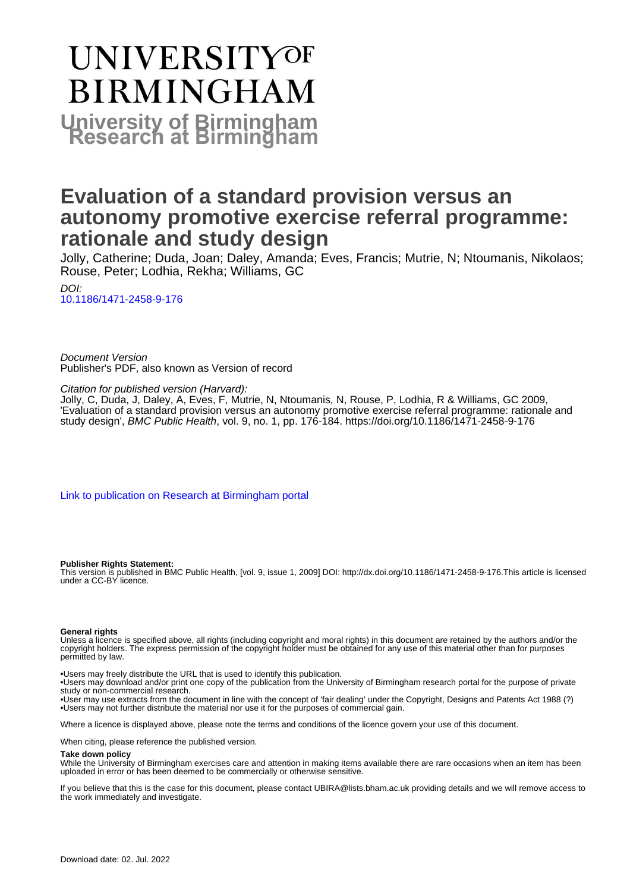# UNIVERSITYOF **BIRMINGHAM University of Birmingham**

# **Evaluation of a standard provision versus an autonomy promotive exercise referral programme: rationale and study design**

Jolly, Catherine; Duda, Joan; Daley, Amanda; Eves, Francis; Mutrie, N; Ntoumanis, Nikolaos; Rouse, Peter; Lodhia, Rekha; Williams, GC

DOI: [10.1186/1471-2458-9-176](https://doi.org/10.1186/1471-2458-9-176)

Document Version Publisher's PDF, also known as Version of record

Citation for published version (Harvard):

Jolly, C, Duda, J, Daley, A, Eves, F, Mutrie, N, Ntoumanis, N, Rouse, P, Lodhia, R & Williams, GC 2009, 'Evaluation of a standard provision versus an autonomy promotive exercise referral programme: rationale and study design', BMC Public Health, vol. 9, no. 1, pp. 176-184.<https://doi.org/10.1186/1471-2458-9-176>

[Link to publication on Research at Birmingham portal](https://birmingham.elsevierpure.com/en/publications/01247238-11cd-4acd-9583-856ce6a45b6b)

### **Publisher Rights Statement:**

This version is published in BMC Public Health, [vol. 9, issue 1, 2009] DOI: http://dx.doi.org/10.1186/1471-2458-9-176.This article is licensed under a CC-BY licence.

### **General rights**

Unless a licence is specified above, all rights (including copyright and moral rights) in this document are retained by the authors and/or the copyright holders. The express permission of the copyright holder must be obtained for any use of this material other than for purposes permitted by law.

• Users may freely distribute the URL that is used to identify this publication.

• Users may download and/or print one copy of the publication from the University of Birmingham research portal for the purpose of private study or non-commercial research.

• User may use extracts from the document in line with the concept of 'fair dealing' under the Copyright, Designs and Patents Act 1988 (?) • Users may not further distribute the material nor use it for the purposes of commercial gain.

Where a licence is displayed above, please note the terms and conditions of the licence govern your use of this document.

When citing, please reference the published version.

### **Take down policy**

While the University of Birmingham exercises care and attention in making items available there are rare occasions when an item has been uploaded in error or has been deemed to be commercially or otherwise sensitive.

If you believe that this is the case for this document, please contact UBIRA@lists.bham.ac.uk providing details and we will remove access to the work immediately and investigate.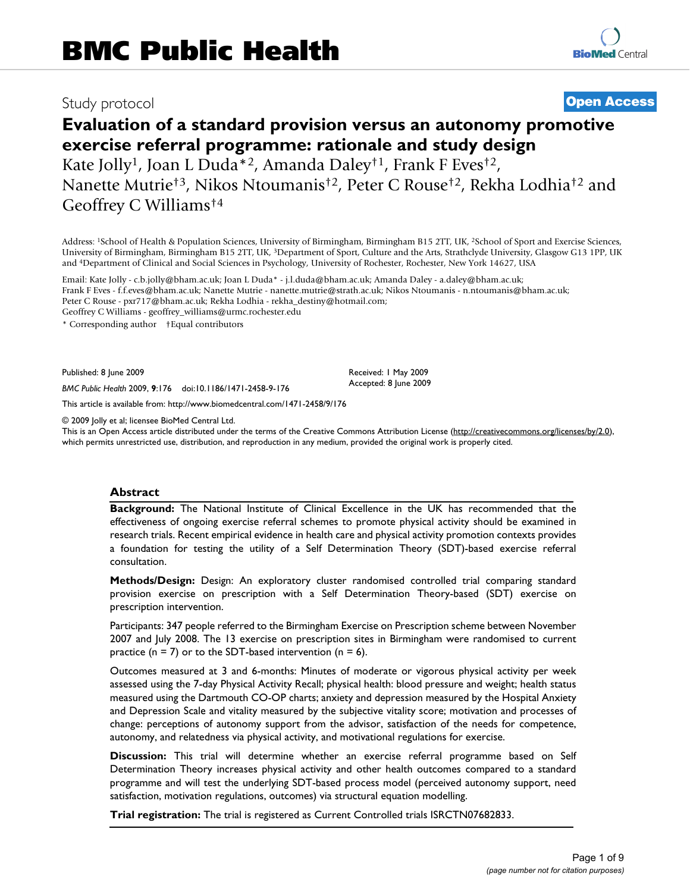# Study protocol **[Open Access](http://www.biomedcentral.com/info/about/charter/)**

# **Evaluation of a standard provision versus an autonomy promotive exercise referral programme: rationale and study design**

Kate Jolly<sup>1</sup>, Joan L Duda<sup>\*2</sup>, Amanda Daley<sup>†1</sup>, Frank F Eves<sup>†2</sup>, Nanette Mutrie†3, Nikos Ntoumanis†2, Peter C Rouse†2, Rekha Lodhia†2 and Geoffrey C Williams†4

Address: 1School of Health & Population Sciences, University of Birmingham, Birmingham B15 2TT, UK, 2School of Sport and Exercise Sciences, University of Birmingham, Birmingham B15 2TT, UK, 3Department of Sport, Culture and the Arts, Strathclyde University, Glasgow G13 1PP, UK and 4Department of Clinical and Social Sciences in Psychology, University of Rochester, Rochester, New York 14627, USA

Email: Kate Jolly - c.b.jolly@bham.ac.uk; Joan L Duda\* - j.l.duda@bham.ac.uk; Amanda Daley - a.daley@bham.ac.uk; Frank F Eves - f.f.eves@bham.ac.uk; Nanette Mutrie - nanette.mutrie@strath.ac.uk; Nikos Ntoumanis - n.ntoumanis@bham.ac.uk; Peter C Rouse - pxr717@bham.ac.uk; Rekha Lodhia - rekha\_destiny@hotmail.com; Geoffrey C Williams - geoffrey\_williams@urmc.rochester.edu

\* Corresponding author †Equal contributors

Published: 8 June 2009

*BMC Public Health* 2009, **9**:176 doi:10.1186/1471-2458-9-176

[This article is available from: http://www.biomedcentral.com/1471-2458/9/176](http://www.biomedcentral.com/1471-2458/9/176)

© 2009 Jolly et al; licensee BioMed Central Ltd.

This is an Open Access article distributed under the terms of the Creative Commons Attribution License [\(http://creativecommons.org/licenses/by/2.0\)](http://creativecommons.org/licenses/by/2.0), which permits unrestricted use, distribution, and reproduction in any medium, provided the original work is properly cited.

Received: 1 May 2009 Accepted: 8 June 2009

# **Abstract**

**Background:** The National Institute of Clinical Excellence in the UK has recommended that the effectiveness of ongoing exercise referral schemes to promote physical activity should be examined in research trials. Recent empirical evidence in health care and physical activity promotion contexts provides a foundation for testing the utility of a Self Determination Theory (SDT)-based exercise referral consultation.

**Methods/Design:** Design: An exploratory cluster randomised controlled trial comparing standard provision exercise on prescription with a Self Determination Theory-based (SDT) exercise on prescription intervention.

Participants: 347 people referred to the Birmingham Exercise on Prescription scheme between November 2007 and July 2008. The 13 exercise on prescription sites in Birmingham were randomised to current practice ( $n = 7$ ) or to the SDT-based intervention ( $n = 6$ ).

Outcomes measured at 3 and 6-months: Minutes of moderate or vigorous physical activity per week assessed using the 7-day Physical Activity Recall; physical health: blood pressure and weight; health status measured using the Dartmouth CO-OP charts; anxiety and depression measured by the Hospital Anxiety and Depression Scale and vitality measured by the subjective vitality score; motivation and processes of change: perceptions of autonomy support from the advisor, satisfaction of the needs for competence, autonomy, and relatedness via physical activity, and motivational regulations for exercise.

**Discussion:** This trial will determine whether an exercise referral programme based on Self Determination Theory increases physical activity and other health outcomes compared to a standard programme and will test the underlying SDT-based process model (perceived autonomy support, need satisfaction, motivation regulations, outcomes) via structural equation modelling.

**Trial registration:** The trial is registered as Current Controlled trials ISRCTN07682833.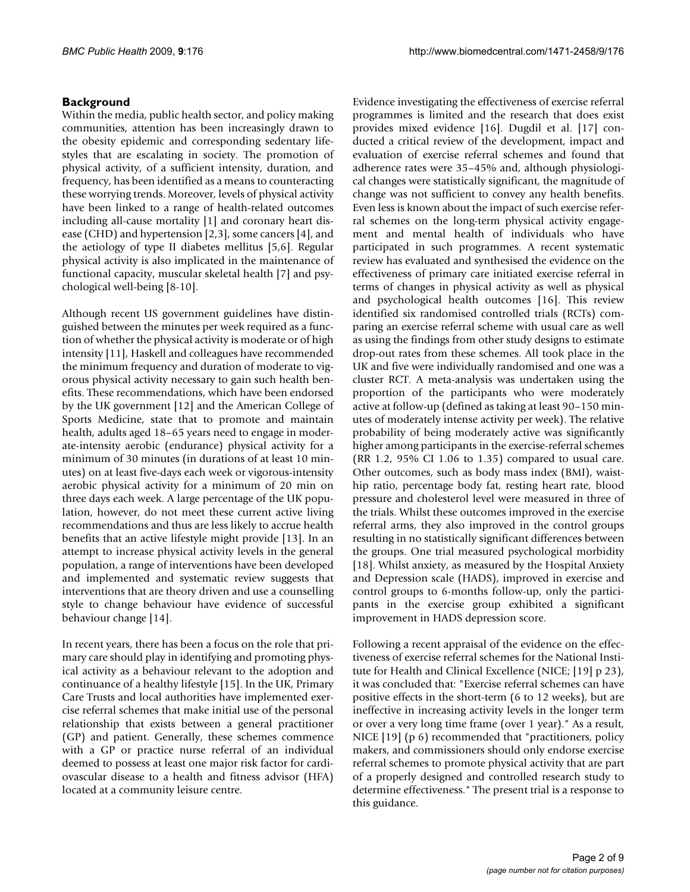# **Background**

Within the media, public health sector, and policy making communities, attention has been increasingly drawn to the obesity epidemic and corresponding sedentary lifestyles that are escalating in society. The promotion of physical activity, of a sufficient intensity, duration, and frequency, has been identified as a means to counteracting these worrying trends. Moreover, levels of physical activity have been linked to a range of health-related outcomes including all-cause mortality [1] and coronary heart disease (CHD) and hypertension [2,3], some cancers [4], and the aetiology of type II diabetes mellitus [5,6]. Regular physical activity is also implicated in the maintenance of functional capacity, muscular skeletal health [7] and psychological well-being [8-10].

Although recent US government guidelines have distinguished between the minutes per week required as a function of whether the physical activity is moderate or of high intensity [11], Haskell and colleagues have recommended the minimum frequency and duration of moderate to vigorous physical activity necessary to gain such health benefits. These recommendations, which have been endorsed by the UK government [12] and the American College of Sports Medicine, state that to promote and maintain health, adults aged 18–65 years need to engage in moderate-intensity aerobic (endurance) physical activity for a minimum of 30 minutes (in durations of at least 10 minutes) on at least five-days each week or vigorous-intensity aerobic physical activity for a minimum of 20 min on three days each week. A large percentage of the UK population, however, do not meet these current active living recommendations and thus are less likely to accrue health benefits that an active lifestyle might provide [13]. In an attempt to increase physical activity levels in the general population, a range of interventions have been developed and implemented and systematic review suggests that interventions that are theory driven and use a counselling style to change behaviour have evidence of successful behaviour change [14].

In recent years, there has been a focus on the role that primary care should play in identifying and promoting physical activity as a behaviour relevant to the adoption and continuance of a healthy lifestyle [15]. In the UK, Primary Care Trusts and local authorities have implemented exercise referral schemes that make initial use of the personal relationship that exists between a general practitioner (GP) and patient. Generally, these schemes commence with a GP or practice nurse referral of an individual deemed to possess at least one major risk factor for cardiovascular disease to a health and fitness advisor (HFA) located at a community leisure centre.

Evidence investigating the effectiveness of exercise referral programmes is limited and the research that does exist provides mixed evidence [16]. Dugdil et al. [17] conducted a critical review of the development, impact and evaluation of exercise referral schemes and found that adherence rates were 35–45% and, although physiological changes were statistically significant, the magnitude of change was not sufficient to convey any health benefits. Even less is known about the impact of such exercise referral schemes on the long-term physical activity engagement and mental health of individuals who have participated in such programmes. A recent systematic review has evaluated and synthesised the evidence on the effectiveness of primary care initiated exercise referral in terms of changes in physical activity as well as physical and psychological health outcomes [16]. This review identified six randomised controlled trials (RCTs) comparing an exercise referral scheme with usual care as well as using the findings from other study designs to estimate drop-out rates from these schemes. All took place in the UK and five were individually randomised and one was a cluster RCT. A meta-analysis was undertaken using the proportion of the participants who were moderately active at follow-up (defined as taking at least 90–150 minutes of moderately intense activity per week). The relative probability of being moderately active was significantly higher among participants in the exercise-referral schemes (RR 1.2, 95% CI 1.06 to 1.35) compared to usual care. Other outcomes, such as body mass index (BMI), waisthip ratio, percentage body fat, resting heart rate, blood pressure and cholesterol level were measured in three of the trials. Whilst these outcomes improved in the exercise referral arms, they also improved in the control groups resulting in no statistically significant differences between the groups. One trial measured psychological morbidity [18]. Whilst anxiety, as measured by the Hospital Anxiety and Depression scale (HADS), improved in exercise and control groups to 6-months follow-up, only the participants in the exercise group exhibited a significant improvement in HADS depression score.

Following a recent appraisal of the evidence on the effectiveness of exercise referral schemes for the National Institute for Health and Clinical Excellence (NICE; [19] p 23), it was concluded that: "Exercise referral schemes can have positive effects in the short-term (6 to 12 weeks), but are ineffective in increasing activity levels in the longer term or over a very long time frame (over 1 year)." As a result, NICE [19] (p 6) recommended that "practitioners, policy makers, and commissioners should only endorse exercise referral schemes to promote physical activity that are part of a properly designed and controlled research study to determine effectiveness." The present trial is a response to this guidance.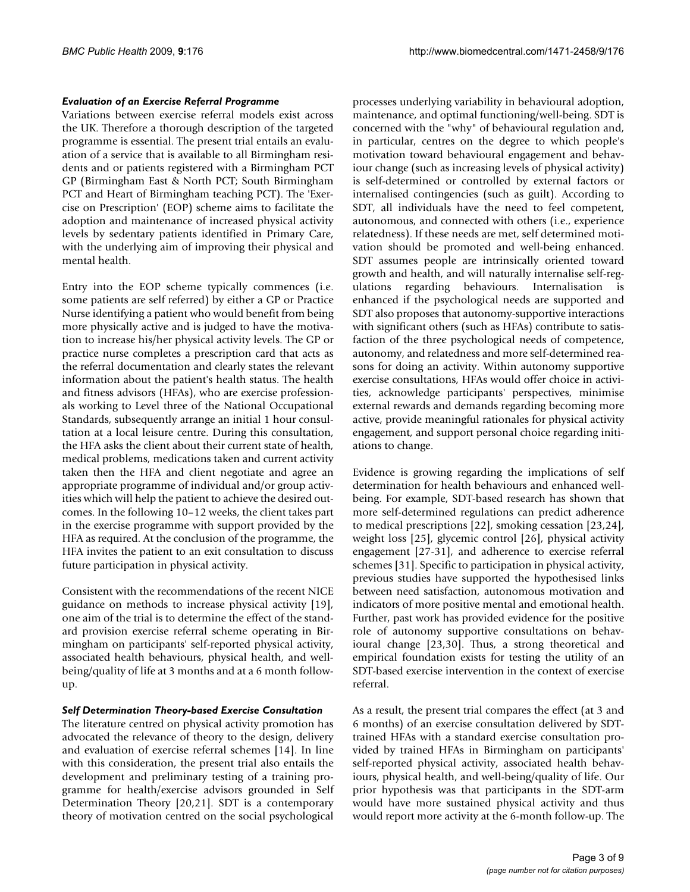# *Evaluation of an Exercise Referral Programme*

Variations between exercise referral models exist across the UK. Therefore a thorough description of the targeted programme is essential. The present trial entails an evaluation of a service that is available to all Birmingham residents and or patients registered with a Birmingham PCT GP (Birmingham East & North PCT; South Birmingham PCT and Heart of Birmingham teaching PCT). The 'Exercise on Prescription' (EOP) scheme aims to facilitate the adoption and maintenance of increased physical activity levels by sedentary patients identified in Primary Care, with the underlying aim of improving their physical and mental health.

Entry into the EOP scheme typically commences (i.e. some patients are self referred) by either a GP or Practice Nurse identifying a patient who would benefit from being more physically active and is judged to have the motivation to increase his/her physical activity levels. The GP or practice nurse completes a prescription card that acts as the referral documentation and clearly states the relevant information about the patient's health status. The health and fitness advisors (HFAs), who are exercise professionals working to Level three of the National Occupational Standards, subsequently arrange an initial 1 hour consultation at a local leisure centre. During this consultation, the HFA asks the client about their current state of health, medical problems, medications taken and current activity taken then the HFA and client negotiate and agree an appropriate programme of individual and/or group activities which will help the patient to achieve the desired outcomes. In the following 10–12 weeks, the client takes part in the exercise programme with support provided by the HFA as required. At the conclusion of the programme, the HFA invites the patient to an exit consultation to discuss future participation in physical activity.

Consistent with the recommendations of the recent NICE guidance on methods to increase physical activity [19], one aim of the trial is to determine the effect of the standard provision exercise referral scheme operating in Birmingham on participants' self-reported physical activity, associated health behaviours, physical health, and wellbeing/quality of life at 3 months and at a 6 month followup.

# *Self Determination Theory-based Exercise Consultation*

The literature centred on physical activity promotion has advocated the relevance of theory to the design, delivery and evaluation of exercise referral schemes [14]. In line with this consideration, the present trial also entails the development and preliminary testing of a training programme for health/exercise advisors grounded in Self Determination Theory [20,21]. SDT is a contemporary theory of motivation centred on the social psychological

processes underlying variability in behavioural adoption, maintenance, and optimal functioning/well-being. SDT is concerned with the "why" of behavioural regulation and, in particular, centres on the degree to which people's motivation toward behavioural engagement and behaviour change (such as increasing levels of physical activity) is self-determined or controlled by external factors or internalised contingencies (such as guilt). According to SDT, all individuals have the need to feel competent, autonomous, and connected with others (i.e., experience relatedness). If these needs are met, self determined motivation should be promoted and well-being enhanced. SDT assumes people are intrinsically oriented toward growth and health, and will naturally internalise self-regulations regarding behaviours. Internalisation is enhanced if the psychological needs are supported and SDT also proposes that autonomy-supportive interactions with significant others (such as HFAs) contribute to satisfaction of the three psychological needs of competence, autonomy, and relatedness and more self-determined reasons for doing an activity. Within autonomy supportive exercise consultations, HFAs would offer choice in activities, acknowledge participants' perspectives, minimise external rewards and demands regarding becoming more active, provide meaningful rationales for physical activity engagement, and support personal choice regarding initiations to change.

Evidence is growing regarding the implications of self determination for health behaviours and enhanced wellbeing. For example, SDT-based research has shown that more self-determined regulations can predict adherence to medical prescriptions [22], smoking cessation [23,24], weight loss [25], glycemic control [26], physical activity engagement [27-31], and adherence to exercise referral schemes [31]. Specific to participation in physical activity, previous studies have supported the hypothesised links between need satisfaction, autonomous motivation and indicators of more positive mental and emotional health. Further, past work has provided evidence for the positive role of autonomy supportive consultations on behavioural change [23,30]. Thus, a strong theoretical and empirical foundation exists for testing the utility of an SDT-based exercise intervention in the context of exercise referral.

As a result, the present trial compares the effect (at 3 and 6 months) of an exercise consultation delivered by SDTtrained HFAs with a standard exercise consultation provided by trained HFAs in Birmingham on participants' self-reported physical activity, associated health behaviours, physical health, and well-being/quality of life. Our prior hypothesis was that participants in the SDT-arm would have more sustained physical activity and thus would report more activity at the 6-month follow-up. The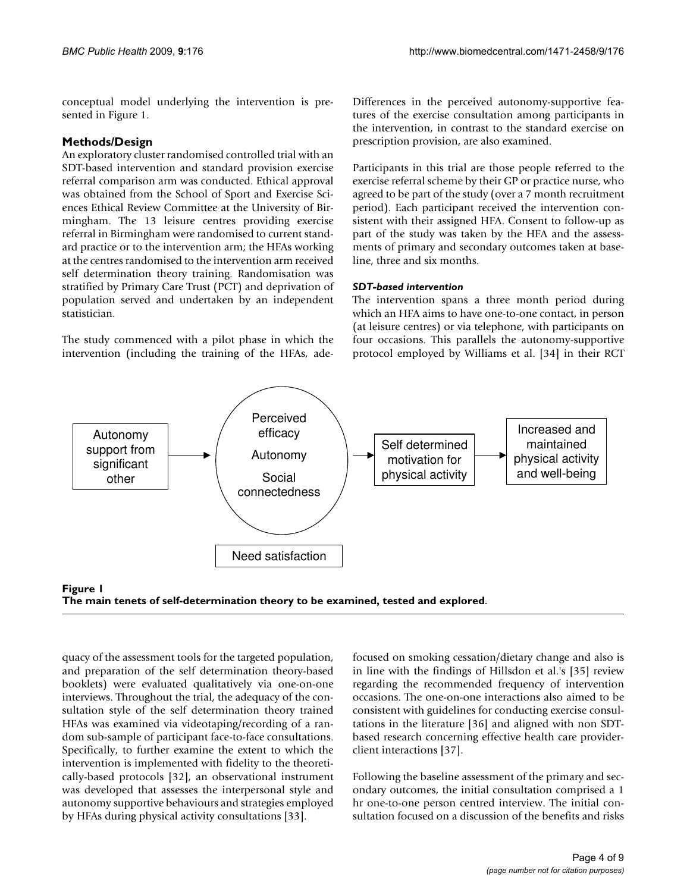conceptual model underlying the intervention is presented in Figure 1.

# **Methods/Design**

An exploratory cluster randomised controlled trial with an SDT-based intervention and standard provision exercise referral comparison arm was conducted. Ethical approval was obtained from the School of Sport and Exercise Sciences Ethical Review Committee at the University of Birmingham. The 13 leisure centres providing exercise referral in Birmingham were randomised to current standard practice or to the intervention arm; the HFAs working at the centres randomised to the intervention arm received self determination theory training. Randomisation was stratified by Primary Care Trust (PCT) and deprivation of population served and undertaken by an independent statistician.

The study commenced with a pilot phase in which the intervention (including the training of the HFAs, adeDifferences in the perceived autonomy-supportive features of the exercise consultation among participants in the intervention, in contrast to the standard exercise on prescription provision, are also examined.

Participants in this trial are those people referred to the exercise referral scheme by their GP or practice nurse, who agreed to be part of the study (over a 7 month recruitment period). Each participant received the intervention consistent with their assigned HFA. Consent to follow-up as part of the study was taken by the HFA and the assessments of primary and secondary outcomes taken at baseline, three and six months.

# *SDT-based intervention*

The intervention spans a three month period during which an HFA aims to have one-to-one contact, in person (at leisure centres) or via telephone, with participants on four occasions. This parallels the autonomy-supportive protocol employed by Williams et al. [34] in their RCT





quacy of the assessment tools for the targeted population, and preparation of the self determination theory-based booklets) were evaluated qualitatively via one-on-one interviews. Throughout the trial, the adequacy of the consultation style of the self determination theory trained HFAs was examined via videotaping/recording of a random sub-sample of participant face-to-face consultations. Specifically, to further examine the extent to which the intervention is implemented with fidelity to the theoretically-based protocols [32], an observational instrument was developed that assesses the interpersonal style and autonomy supportive behaviours and strategies employed by HFAs during physical activity consultations [33].

focused on smoking cessation/dietary change and also is in line with the findings of Hillsdon et al.'s [35] review regarding the recommended frequency of intervention occasions. The one-on-one interactions also aimed to be consistent with guidelines for conducting exercise consultations in the literature [36] and aligned with non SDTbased research concerning effective health care providerclient interactions [37].

Following the baseline assessment of the primary and secondary outcomes, the initial consultation comprised a 1 hr one-to-one person centred interview. The initial consultation focused on a discussion of the benefits and risks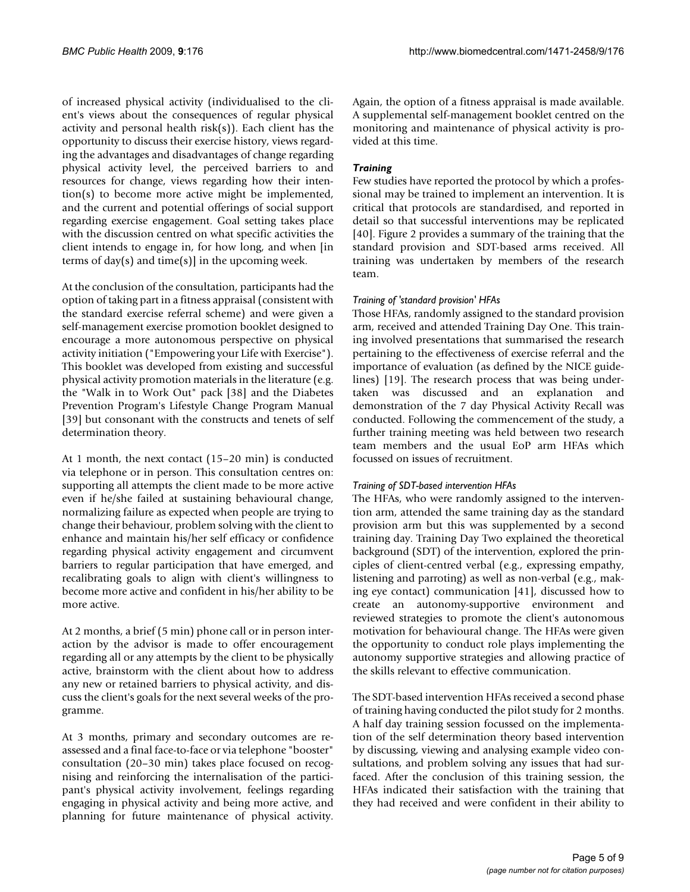of increased physical activity (individualised to the client's views about the consequences of regular physical activity and personal health risk(s)). Each client has the opportunity to discuss their exercise history, views regarding the advantages and disadvantages of change regarding physical activity level, the perceived barriers to and resources for change, views regarding how their intention(s) to become more active might be implemented, and the current and potential offerings of social support regarding exercise engagement. Goal setting takes place with the discussion centred on what specific activities the client intends to engage in, for how long, and when [in terms of day(s) and time(s)] in the upcoming week.

At the conclusion of the consultation, participants had the option of taking part in a fitness appraisal (consistent with the standard exercise referral scheme) and were given a self-management exercise promotion booklet designed to encourage a more autonomous perspective on physical activity initiation ("Empowering your Life with Exercise"). This booklet was developed from existing and successful physical activity promotion materials in the literature (e.g. the "Walk in to Work Out" pack [38] and the Diabetes Prevention Program's Lifestyle Change Program Manual [39] but consonant with the constructs and tenets of self determination theory.

At 1 month, the next contact (15–20 min) is conducted via telephone or in person. This consultation centres on: supporting all attempts the client made to be more active even if he/she failed at sustaining behavioural change, normalizing failure as expected when people are trying to change their behaviour, problem solving with the client to enhance and maintain his/her self efficacy or confidence regarding physical activity engagement and circumvent barriers to regular participation that have emerged, and recalibrating goals to align with client's willingness to become more active and confident in his/her ability to be more active.

At 2 months, a brief (5 min) phone call or in person interaction by the advisor is made to offer encouragement regarding all or any attempts by the client to be physically active, brainstorm with the client about how to address any new or retained barriers to physical activity, and discuss the client's goals for the next several weeks of the programme.

At 3 months, primary and secondary outcomes are reassessed and a final face-to-face or via telephone "booster" consultation (20–30 min) takes place focused on recognising and reinforcing the internalisation of the participant's physical activity involvement, feelings regarding engaging in physical activity and being more active, and planning for future maintenance of physical activity.

Again, the option of a fitness appraisal is made available. A supplemental self-management booklet centred on the monitoring and maintenance of physical activity is provided at this time.

# *Training*

Few studies have reported the protocol by which a professional may be trained to implement an intervention. It is critical that protocols are standardised, and reported in detail so that successful interventions may be replicated [40]. Figure 2 provides a summary of the training that the standard provision and SDT-based arms received. All training was undertaken by members of the research team.

# *Training of 'standard provision' HFAs*

Those HFAs, randomly assigned to the standard provision arm, received and attended Training Day One. This training involved presentations that summarised the research pertaining to the effectiveness of exercise referral and the importance of evaluation (as defined by the NICE guidelines) [19]. The research process that was being undertaken was discussed and an explanation and demonstration of the 7 day Physical Activity Recall was conducted. Following the commencement of the study, a further training meeting was held between two research team members and the usual EoP arm HFAs which focussed on issues of recruitment.

# *Training of SDT-based intervention HFAs*

The HFAs, who were randomly assigned to the intervention arm, attended the same training day as the standard provision arm but this was supplemented by a second training day. Training Day Two explained the theoretical background (SDT) of the intervention, explored the principles of client-centred verbal (e.g., expressing empathy, listening and parroting) as well as non-verbal (e.g., making eye contact) communication [41], discussed how to create an autonomy-supportive environment and reviewed strategies to promote the client's autonomous motivation for behavioural change. The HFAs were given the opportunity to conduct role plays implementing the autonomy supportive strategies and allowing practice of the skills relevant to effective communication.

The SDT-based intervention HFAs received a second phase of training having conducted the pilot study for 2 months. A half day training session focussed on the implementation of the self determination theory based intervention by discussing, viewing and analysing example video consultations, and problem solving any issues that had surfaced. After the conclusion of this training session, the HFAs indicated their satisfaction with the training that they had received and were confident in their ability to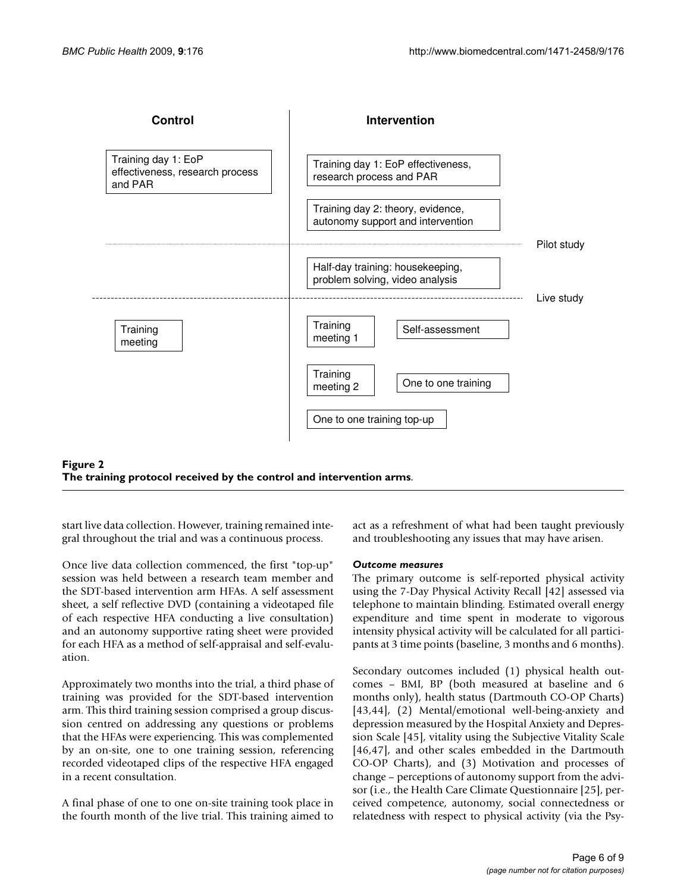

**The training protocol received by the control and intervention arms**.

start live data collection. However, training remained integral throughout the trial and was a continuous process.

Once live data collection commenced, the first "top-up" session was held between a research team member and the SDT-based intervention arm HFAs. A self assessment sheet, a self reflective DVD (containing a videotaped file of each respective HFA conducting a live consultation) and an autonomy supportive rating sheet were provided for each HFA as a method of self-appraisal and self-evaluation.

Approximately two months into the trial, a third phase of training was provided for the SDT-based intervention arm. This third training session comprised a group discussion centred on addressing any questions or problems that the HFAs were experiencing. This was complemented by an on-site, one to one training session, referencing recorded videotaped clips of the respective HFA engaged in a recent consultation.

A final phase of one to one on-site training took place in the fourth month of the live trial. This training aimed to

act as a refreshment of what had been taught previously and troubleshooting any issues that may have arisen.

# *Outcome measures*

The primary outcome is self-reported physical activity using the 7-Day Physical Activity Recall [42] assessed via telephone to maintain blinding. Estimated overall energy expenditure and time spent in moderate to vigorous intensity physical activity will be calculated for all participants at 3 time points (baseline, 3 months and 6 months).

Secondary outcomes included (1) physical health outcomes – BMI, BP (both measured at baseline and 6 months only), health status (Dartmouth CO-OP Charts) [43,44], (2) Mental/emotional well-being-anxiety and depression measured by the Hospital Anxiety and Depression Scale [45], vitality using the Subjective Vitality Scale [46,47], and other scales embedded in the Dartmouth CO-OP Charts), and (3) Motivation and processes of change – perceptions of autonomy support from the advisor (i.e., the Health Care Climate Questionnaire [25], perceived competence, autonomy, social connectedness or relatedness with respect to physical activity (via the Psy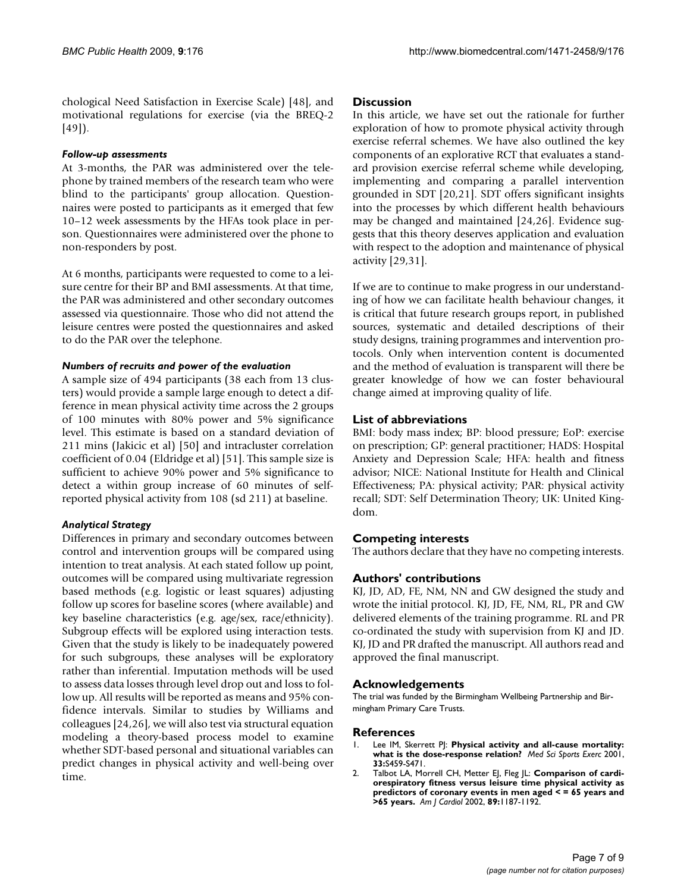chological Need Satisfaction in Exercise Scale) [48], and motivational regulations for exercise (via the BREQ-2 [49]).

# *Follow-up assessments*

At 3-months, the PAR was administered over the telephone by trained members of the research team who were blind to the participants' group allocation. Questionnaires were posted to participants as it emerged that few 10–12 week assessments by the HFAs took place in person. Questionnaires were administered over the phone to non-responders by post.

At 6 months, participants were requested to come to a leisure centre for their BP and BMI assessments. At that time, the PAR was administered and other secondary outcomes assessed via questionnaire. Those who did not attend the leisure centres were posted the questionnaires and asked to do the PAR over the telephone.

# *Numbers of recruits and power of the evaluation*

A sample size of 494 participants (38 each from 13 clusters) would provide a sample large enough to detect a difference in mean physical activity time across the 2 groups of 100 minutes with 80% power and 5% significance level. This estimate is based on a standard deviation of 211 mins (Jakicic et al) [50] and intracluster correlation coefficient of 0.04 (Eldridge et al) [51]. This sample size is sufficient to achieve 90% power and 5% significance to detect a within group increase of 60 minutes of selfreported physical activity from 108 (sd 211) at baseline.

# *Analytical Strategy*

Differences in primary and secondary outcomes between control and intervention groups will be compared using intention to treat analysis. At each stated follow up point, outcomes will be compared using multivariate regression based methods (e.g. logistic or least squares) adjusting follow up scores for baseline scores (where available) and key baseline characteristics (e.g. age/sex, race/ethnicity). Subgroup effects will be explored using interaction tests. Given that the study is likely to be inadequately powered for such subgroups, these analyses will be exploratory rather than inferential. Imputation methods will be used to assess data losses through level drop out and loss to follow up. All results will be reported as means and 95% confidence intervals. Similar to studies by Williams and colleagues [24,26], we will also test via structural equation modeling a theory-based process model to examine whether SDT-based personal and situational variables can predict changes in physical activity and well-being over time.

# **Discussion**

In this article, we have set out the rationale for further exploration of how to promote physical activity through exercise referral schemes. We have also outlined the key components of an explorative RCT that evaluates a standard provision exercise referral scheme while developing, implementing and comparing a parallel intervention grounded in SDT [20,21]. SDT offers significant insights into the processes by which different health behaviours may be changed and maintained [24,26]. Evidence suggests that this theory deserves application and evaluation with respect to the adoption and maintenance of physical activity [29,31].

If we are to continue to make progress in our understanding of how we can facilitate health behaviour changes, it is critical that future research groups report, in published sources, systematic and detailed descriptions of their study designs, training programmes and intervention protocols. Only when intervention content is documented and the method of evaluation is transparent will there be greater knowledge of how we can foster behavioural change aimed at improving quality of life.

# **List of abbreviations**

BMI: body mass index; BP: blood pressure; EoP: exercise on prescription; GP: general practitioner; HADS: Hospital Anxiety and Depression Scale; HFA: health and fitness advisor; NICE: National Institute for Health and Clinical Effectiveness; PA: physical activity; PAR: physical activity recall; SDT: Self Determination Theory; UK: United Kingdom.

# **Competing interests**

The authors declare that they have no competing interests.

# **Authors' contributions**

KJ, JD, AD, FE, NM, NN and GW designed the study and wrote the initial protocol. KJ, JD, FE, NM, RL, PR and GW delivered elements of the training programme. RL and PR co-ordinated the study with supervision from KJ and JD. KJ, JD and PR drafted the manuscript. All authors read and approved the final manuscript.

# **Acknowledgements**

The trial was funded by the Birmingham Wellbeing Partnership and Birmingham Primary Care Trusts.

# **References**

- 1. Lee IM, Skerrett PJ: **[Physical activity and all-cause mortality:](http://www.ncbi.nlm.nih.gov/entrez/query.fcgi?cmd=Retrieve&db=PubMed&dopt=Abstract&list_uids=11427772) [what is the dose-response relation?](http://www.ncbi.nlm.nih.gov/entrez/query.fcgi?cmd=Retrieve&db=PubMed&dopt=Abstract&list_uids=11427772)** *Med Sci Sports Exerc* 2001, **33:**S459-S471.
- 2. Talbot LA, Morrell CH, Metter EJ, Fleg JL: **[Comparison of cardi](http://www.ncbi.nlm.nih.gov/entrez/query.fcgi?cmd=Retrieve&db=PubMed&dopt=Abstract&list_uids=12008173)[orespiratory fitness versus leisure time physical activity as](http://www.ncbi.nlm.nih.gov/entrez/query.fcgi?cmd=Retrieve&db=PubMed&dopt=Abstract&list_uids=12008173) predictors of coronary events in men aged < = 65 years and [>65 years.](http://www.ncbi.nlm.nih.gov/entrez/query.fcgi?cmd=Retrieve&db=PubMed&dopt=Abstract&list_uids=12008173)** *Am J Cardiol* 2002, **89:**1187-1192.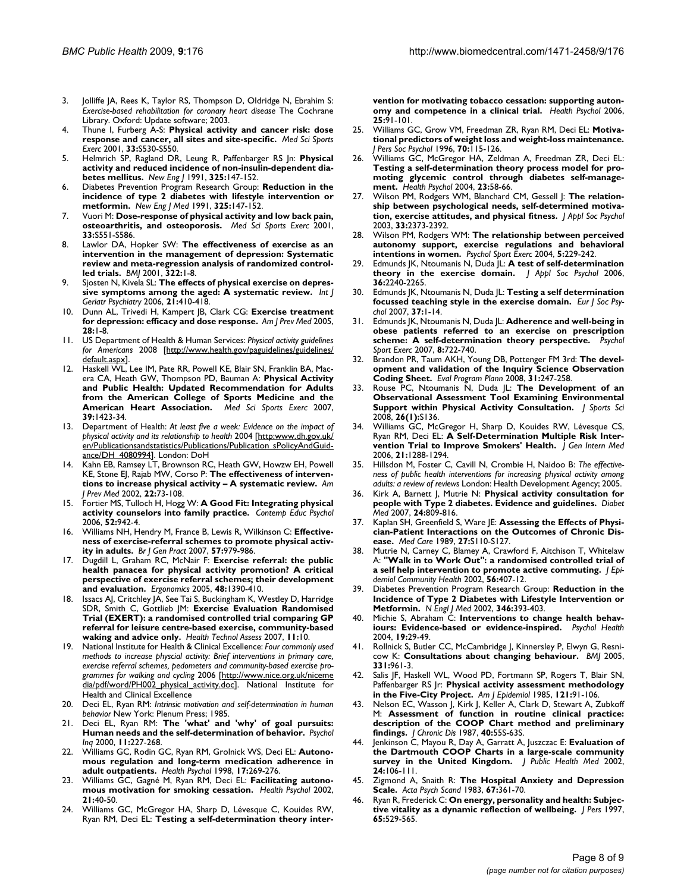- 3. Jolliffe JA, Rees K, Taylor RS, Thompson D, Oldridge N, Ebrahim S: *Exercise-based rehabilitation for coronary heart disease* The Cochrane Library. Oxford: Update software; 2003.
- 4. Thune I, Furberg A-S: **[Physical activity and cancer risk: dose](http://www.ncbi.nlm.nih.gov/entrez/query.fcgi?cmd=Retrieve&db=PubMed&dopt=Abstract&list_uids=11427781) [response and cancer, all sites and site-specific.](http://www.ncbi.nlm.nih.gov/entrez/query.fcgi?cmd=Retrieve&db=PubMed&dopt=Abstract&list_uids=11427781)** *Med Sci Sports Exerc* 2001, **33:**S530-S550.
- 5. Helmrich SP, Ragland DR, Leung R, Paffenbarger RS Jn: **Physical activity and reduced incidence of non-insulin-dependent diabetes mellitus.** *New Eng J* 1991, **325:**147-152.
- 6. Diabetes Prevention Program Research Group: **[Reduction in the](http://www.ncbi.nlm.nih.gov/entrez/query.fcgi?cmd=Retrieve&db=PubMed&dopt=Abstract&list_uids=2052059) [incidence of type 2 diabetes with lifestyle intervention or](http://www.ncbi.nlm.nih.gov/entrez/query.fcgi?cmd=Retrieve&db=PubMed&dopt=Abstract&list_uids=2052059) [metformin.](http://www.ncbi.nlm.nih.gov/entrez/query.fcgi?cmd=Retrieve&db=PubMed&dopt=Abstract&list_uids=2052059)** *New Eng J Med* 1991, **325:**147-152.
- 7. Vuori M: **[Dose-response of physical activity and low back pain,](http://www.ncbi.nlm.nih.gov/entrez/query.fcgi?cmd=Retrieve&db=PubMed&dopt=Abstract&list_uids=11427782) [osteoarthritis, and osteoporosis.](http://www.ncbi.nlm.nih.gov/entrez/query.fcgi?cmd=Retrieve&db=PubMed&dopt=Abstract&list_uids=11427782)** *Med Sci Sports Exerc* 2001, **33:**S551-S586.
- 8. Lawlor DA, Hopker SW: **[The effectiveness of exercise as an](http://www.ncbi.nlm.nih.gov/entrez/query.fcgi?cmd=Retrieve&db=PubMed&dopt=Abstract&list_uids=11141128) [intervention in the management of depression: Systematic](http://www.ncbi.nlm.nih.gov/entrez/query.fcgi?cmd=Retrieve&db=PubMed&dopt=Abstract&list_uids=11141128) review and meta-regression analysis of randomized control[led trials.](http://www.ncbi.nlm.nih.gov/entrez/query.fcgi?cmd=Retrieve&db=PubMed&dopt=Abstract&list_uids=11141128)** *BMJ* 2001, **322:**1-8.
- 9. Sjosten N, Kivela SL: **[The effects of physical exercise on depres](http://www.ncbi.nlm.nih.gov/entrez/query.fcgi?cmd=Retrieve&db=PubMed&dopt=Abstract&list_uids=16676285)[sive symptoms among the aged: A systematic review.](http://www.ncbi.nlm.nih.gov/entrez/query.fcgi?cmd=Retrieve&db=PubMed&dopt=Abstract&list_uids=16676285)** *Int J Geriatr Psychiatry* 2006, **21:**410-418.
- 10. Dunn AL, Trivedi H, Kampert JB, Clark CG: **[Exercise treatment](http://www.ncbi.nlm.nih.gov/entrez/query.fcgi?cmd=Retrieve&db=PubMed&dopt=Abstract&list_uids=15626549) [for depression: efficacy and dose response.](http://www.ncbi.nlm.nih.gov/entrez/query.fcgi?cmd=Retrieve&db=PubMed&dopt=Abstract&list_uids=15626549)** *Am J Prev Med* 2005, **28:**1-8.
- 11. US Department of Health & Human Services: *Physical activity guidelines for Americans* 2008 [[http://www.health.gov/paguidelines/guidelines/](http://www.health.gov/paguidelines/guidelines/default.aspx) [default.aspx](http://www.health.gov/paguidelines/guidelines/default.aspx)].
- 12. Haskell WL, Lee IM, Pate RR, Powell KE, Blair SN, Franklin BA, Macera CA, Heath GW, Thompson PD, Bauman A: **[Physical Activity](http://www.ncbi.nlm.nih.gov/entrez/query.fcgi?cmd=Retrieve&db=PubMed&dopt=Abstract&list_uids=17762377) [and Public Health: Updated Recommendation for Adults](http://www.ncbi.nlm.nih.gov/entrez/query.fcgi?cmd=Retrieve&db=PubMed&dopt=Abstract&list_uids=17762377) from the American College of Sports Medicine and the [American Heart Association.](http://www.ncbi.nlm.nih.gov/entrez/query.fcgi?cmd=Retrieve&db=PubMed&dopt=Abstract&list_uids=17762377)** *Med Sci Sports Exerc* 2007, **39:**1423-34.
- 13. Department of Health: *At least five a week: Evidence on the impact of physical activity and its relationship to health* 2004 [[http:www.dh.gov.uk/](http://www.dh.gov.uk/en/Publicationsandstatistics/Publications/PublicationsPolicyAndGuidance/DH_4080994) [en/Publicationsandstatistics/Publications/Publication sPolicyAndGuid](http://www.dh.gov.uk/en/Publicationsandstatistics/Publications/PublicationsPolicyAndGuidance/DH_4080994)[ance/DH\\_4080994\]](http://www.dh.gov.uk/en/Publicationsandstatistics/Publications/PublicationsPolicyAndGuidance/DH_4080994). London: DoH
- 14. Kahn EB, Ramsey LT, Brownson RC, Heath GW, Howzw EH, Powell KE, Stone EJ, Rajab MW, Corso P: **[The effectiveness of interven](http://www.ncbi.nlm.nih.gov/entrez/query.fcgi?cmd=Retrieve&db=PubMed&dopt=Abstract&list_uids=11985936)[tions to increase physical activity – A systematic review.](http://www.ncbi.nlm.nih.gov/entrez/query.fcgi?cmd=Retrieve&db=PubMed&dopt=Abstract&list_uids=11985936)** *Am J Prev Med* 2002, **22:**73-108.
- 15. Fortier MS, Tulloch H, Hogg W: **A Good Fit: Integrating physical activity counselors into family practice.** *Contemp Educ Psychol* 2006, **52:**942-4.
- 16. Williams NH, Hendry M, France B, Lewis R, Wilkinson C: **[Effective](http://www.ncbi.nlm.nih.gov/entrez/query.fcgi?cmd=Retrieve&db=PubMed&dopt=Abstract&list_uids=18252074)[ness of exercise-referral schemes to promote physical activ](http://www.ncbi.nlm.nih.gov/entrez/query.fcgi?cmd=Retrieve&db=PubMed&dopt=Abstract&list_uids=18252074)[ity in adults.](http://www.ncbi.nlm.nih.gov/entrez/query.fcgi?cmd=Retrieve&db=PubMed&dopt=Abstract&list_uids=18252074)** *Br J Gen Pract* 2007, **57:**979-986.
- 17. Dugdill L, Graham RC, McNair F: **[Exercise referral: the public](http://www.ncbi.nlm.nih.gov/entrez/query.fcgi?cmd=Retrieve&db=PubMed&dopt=Abstract&list_uids=16338708) [health panacea for physical activity promotion? A critical](http://www.ncbi.nlm.nih.gov/entrez/query.fcgi?cmd=Retrieve&db=PubMed&dopt=Abstract&list_uids=16338708) perspective of exercise referral schemes; their development [and evaluation.](http://www.ncbi.nlm.nih.gov/entrez/query.fcgi?cmd=Retrieve&db=PubMed&dopt=Abstract&list_uids=16338708)** *Ergonomics* 2005, **48:**1390-410.
- 18. Issacs AJ, Critchley JA, See Tai S, Buckingham K, Westley D, Harridge SDR, Smith C, Gottlieb JM: **Exercise Evaluation Randomised Trial (EXERT): a randomised controlled trial comparing GP referral for leisure centre-based exercise, community-based waking and advice only.** *Health Technol Assess* 2007, **11:**10.
- 19. National Institute for Health & Clinical Excellence: *Four commonly used methods to increase physcial activity: Brief interventions in primary care, exercise referral schemes, pedometers and community-based exercise programmes for walking and cycling* 2006 [[http://www.nice.org.uk/niceme](http://www.nice.org.uk/nicemedia/pdf/word/PH002_physical_activity.doc) [dia/pdf/word/PH002\\_physical\\_activity.doc\]](http://www.nice.org.uk/nicemedia/pdf/word/PH002_physical_activity.doc). National Institute for Health and Clinical Excellence
- 20. Deci EL, Ryan RM: *Intrinsic motivation and self-determination in human behavior* New York: Plenum Press; 1985.
- 21. Deci EL, Ryan RM: **The 'what' and 'why' of goal pursuits: Human needs and the self-determination of behavior.** *Psychol Inq* 2000, **11:**227-268.
- 22. Williams GC, Rodin GC, Ryan RM, Grolnick WS, Deci EL: **[Autono](http://www.ncbi.nlm.nih.gov/entrez/query.fcgi?cmd=Retrieve&db=PubMed&dopt=Abstract&list_uids=9619477)[mous regulation and long-term medication adherence in](http://www.ncbi.nlm.nih.gov/entrez/query.fcgi?cmd=Retrieve&db=PubMed&dopt=Abstract&list_uids=9619477) [adult outpatients.](http://www.ncbi.nlm.nih.gov/entrez/query.fcgi?cmd=Retrieve&db=PubMed&dopt=Abstract&list_uids=9619477)** *Health Psychol* 1998, **17:**269-276.
- 23. Williams GC, Gagné M, Ryan RM, Deci EL: **[Facilitating autono](http://www.ncbi.nlm.nih.gov/entrez/query.fcgi?cmd=Retrieve&db=PubMed&dopt=Abstract&list_uids=11846344)[mous motivation for smoking cessation.](http://www.ncbi.nlm.nih.gov/entrez/query.fcgi?cmd=Retrieve&db=PubMed&dopt=Abstract&list_uids=11846344)** *Health Psychol* 2002, **21:**40-50.
- 24. Williams GC, McGregor HA, Sharp D, Lévesque C, Kouides RW, Ryan RM, Deci EL: **[Testing a self-determination theory inter-](http://www.ncbi.nlm.nih.gov/entrez/query.fcgi?cmd=Retrieve&db=PubMed&dopt=Abstract&list_uids=16448302)**

**[vention for motivating tobacco cessation: supporting auton](http://www.ncbi.nlm.nih.gov/entrez/query.fcgi?cmd=Retrieve&db=PubMed&dopt=Abstract&list_uids=16448302)[omy and competence in a clinical trial.](http://www.ncbi.nlm.nih.gov/entrez/query.fcgi?cmd=Retrieve&db=PubMed&dopt=Abstract&list_uids=16448302)** *Health Psychol* 2006, **25:**91-101.

- 25. Williams GC, Grow VM, Freedman ZR, Ryan RM, Deci EL: **[Motiva](http://www.ncbi.nlm.nih.gov/entrez/query.fcgi?cmd=Retrieve&db=PubMed&dopt=Abstract&list_uids=8558405)[tional predictors of weight loss and weight-loss maintenance.](http://www.ncbi.nlm.nih.gov/entrez/query.fcgi?cmd=Retrieve&db=PubMed&dopt=Abstract&list_uids=8558405)** *J Pers Soc Psychol* 1996, **70:**115-126.
- 26. Williams GC, McGregor HA, Zeldman A, Freedman ZR, Deci EL: **[Testing a self-determination theory process model for pro](http://www.ncbi.nlm.nih.gov/entrez/query.fcgi?cmd=Retrieve&db=PubMed&dopt=Abstract&list_uids=14756604)moting glycemic control through diabetes self-manage[ment.](http://www.ncbi.nlm.nih.gov/entrez/query.fcgi?cmd=Retrieve&db=PubMed&dopt=Abstract&list_uids=14756604)** *Health Psychol* 2004, **23:**58-66.
- 27. Wilson PM, Rodgers WM, Blanchard CM, Gessell J: **The relationship between psychological needs, self-determined motivation, exercise attitudes, and physical fitness.** *J Appl Soc Psychol* 2003, **33:**2373-2392.
- 28. Wilson PM, Rodgers WM: **The relationship between perceived autonomy support, exercise regulations and behavioral intentions in women.** *Psychol Sport Exerc* 2004, **5:**229-242.
- 29. Edmunds JK, Ntoumanis N, Duda JL: **A test of self-determination theory in the exercise domain.** *J Appl Soc Psychol* 2006, **36:**2240-2265.
- 30. Edmunds JK, Ntoumanis N, Duda JL: **Testing a self determination focussed teaching style in the exercise domain.** *Eur J Soc Psychol* 2007, **37:**1-14.
- 31. Edmunds JK, Ntoumanis N, Duda JL: **Adherence and well-being in obese patients referred to an exercise on prescription scheme: A self-determination theory perspective.** *Psychol Sport Exerc* 2007, **8:**722-740.
- 32. Brandon PR, Taum AKH, Young DB, Pottenger FM 3rd: **[The devel](http://www.ncbi.nlm.nih.gov/entrez/query.fcgi?cmd=Retrieve&db=PubMed&dopt=Abstract&list_uids=18513798)[opment and validation of the Inquiry Science Observation](http://www.ncbi.nlm.nih.gov/entrez/query.fcgi?cmd=Retrieve&db=PubMed&dopt=Abstract&list_uids=18513798) [Coding Sheet.](http://www.ncbi.nlm.nih.gov/entrez/query.fcgi?cmd=Retrieve&db=PubMed&dopt=Abstract&list_uids=18513798)** *Eval Program Plann* 2008, **31:**247-258.
- 33. Rouse PC, Ntoumanis N, Duda JL: **The Development of an Observational Assessment Tool Examining Environmental Support within Physical Activity Consultation.** *J Sports Sci* 2008, **26(1):**S136.
- 34. Williams GC, McGregor H, Sharp D, Kouides RW, Lévesque CS, Ryan RM, Deci EL: **A Self-Determination Multiple Risk Intervention Trial to Improve Smokers' Health.** *J Gen Intern Med* 2006, **21:**1288-1294.
- 35. Hillsdon M, Foster C, Cavill N, Crombie H, Naidoo B: *The effectiveness of public health interventions for increasing physical activity among adults: a review of reviews* London: Health Development Agency; 2005.
- 36. Kirk A, Barnett J, Mutrie N: **[Physical activity consultation for](http://www.ncbi.nlm.nih.gov/entrez/query.fcgi?cmd=Retrieve&db=PubMed&dopt=Abstract&list_uids=17650156) [people with Type 2 diabetes. Evidence and guidelines.](http://www.ncbi.nlm.nih.gov/entrez/query.fcgi?cmd=Retrieve&db=PubMed&dopt=Abstract&list_uids=17650156)** *Diabet Med* 2007, **24:**809-816.
- 37. Kaplan SH, Greenfield S, Ware JE: **[Assessing the Effects of Physi](http://www.ncbi.nlm.nih.gov/entrez/query.fcgi?cmd=Retrieve&db=PubMed&dopt=Abstract&list_uids=2646486)[cian-Patient Interactions on the Outcomes of Chronic Dis](http://www.ncbi.nlm.nih.gov/entrez/query.fcgi?cmd=Retrieve&db=PubMed&dopt=Abstract&list_uids=2646486)[ease.](http://www.ncbi.nlm.nih.gov/entrez/query.fcgi?cmd=Retrieve&db=PubMed&dopt=Abstract&list_uids=2646486)** *Med Care* 1989, **27:**S110-S127.
- Mutrie N, Carney C, Blamey A, Crawford F, Aitchison T, Whitelaw A: **["Walk in to Work Out": a randomised controlled trial of](http://www.ncbi.nlm.nih.gov/entrez/query.fcgi?cmd=Retrieve&db=PubMed&dopt=Abstract&list_uids=12011193) [a self help intervention to promote active commuting.](http://www.ncbi.nlm.nih.gov/entrez/query.fcgi?cmd=Retrieve&db=PubMed&dopt=Abstract&list_uids=12011193)** *J Epidemiol Community Health* 2002, **56:**407-12.
- 39. Diabetes Prevention Program Research Group: **[Reduction in the](http://www.ncbi.nlm.nih.gov/entrez/query.fcgi?cmd=Retrieve&db=PubMed&dopt=Abstract&list_uids=11832527) [Incidence of Type 2 Diabetes with Lifestyle Intervention or](http://www.ncbi.nlm.nih.gov/entrez/query.fcgi?cmd=Retrieve&db=PubMed&dopt=Abstract&list_uids=11832527) [Metformin.](http://www.ncbi.nlm.nih.gov/entrez/query.fcgi?cmd=Retrieve&db=PubMed&dopt=Abstract&list_uids=11832527)** *N Engl J Med* 2002, **346:**393-403.
- 40. Michie S, Abraham C: **Interventions to change health behaviours: Evidence-based or evidence-inspired.** *Psychol Health* 2004, **19:**29-49.
- 41. Rollnick S, Butler CC, McCambridge J, Kinnersley P, Elwyn G, Resnicow K: **[Consultations about changing behaviour.](http://www.ncbi.nlm.nih.gov/entrez/query.fcgi?cmd=Retrieve&db=PubMed&dopt=Abstract&list_uids=16239696)** *BMJ* 2005, **331:**961-3.
- 42. Salis JF, Haskell WL, Wood PD, Fortmann SP, Rogers T, Blair SN, Paffenbarger RS Jr: **[Physical activity assessment methodology](http://www.ncbi.nlm.nih.gov/entrez/query.fcgi?cmd=Retrieve&db=PubMed&dopt=Abstract&list_uids=3964995) [in the Five-City Project.](http://www.ncbi.nlm.nih.gov/entrez/query.fcgi?cmd=Retrieve&db=PubMed&dopt=Abstract&list_uids=3964995)** *Am J Epidemiol* 1985, **121:**91-106.
- 43. Nelson EC, Wasson J, Kirk J, Keller A, Clark D, Stewart A, Zubkoff M: **[Assessment of function in routine clinical practice:](http://www.ncbi.nlm.nih.gov/entrez/query.fcgi?cmd=Retrieve&db=PubMed&dopt=Abstract&list_uids=3597698) [description of the COOP Chart method and preliminary](http://www.ncbi.nlm.nih.gov/entrez/query.fcgi?cmd=Retrieve&db=PubMed&dopt=Abstract&list_uids=3597698) [findings.](http://www.ncbi.nlm.nih.gov/entrez/query.fcgi?cmd=Retrieve&db=PubMed&dopt=Abstract&list_uids=3597698)** *J Chronic Dis* 1987, **40:**55S-63S.
- 44. Jenkinson C, Mayou R, Day A, Garratt A, Juszczac E: **[Evaluation of](http://www.ncbi.nlm.nih.gov/entrez/query.fcgi?cmd=Retrieve&db=PubMed&dopt=Abstract&list_uids=12141578) [the Dartmouth COOP Charts in a large-scale community](http://www.ncbi.nlm.nih.gov/entrez/query.fcgi?cmd=Retrieve&db=PubMed&dopt=Abstract&list_uids=12141578) [survey in the United Kingdom.](http://www.ncbi.nlm.nih.gov/entrez/query.fcgi?cmd=Retrieve&db=PubMed&dopt=Abstract&list_uids=12141578)** *J Public Health Med* 2002, **24:**106-111.
- 45. Zigmond A, Snaith R: **The Hospital Anxiety and Depression Scale.** *Acta Psych Scand* 1983, **67:**361-70.
- 46. Ryan R, Frederick C: **[On energy, personality and health: Subjec](http://www.ncbi.nlm.nih.gov/entrez/query.fcgi?cmd=Retrieve&db=PubMed&dopt=Abstract&list_uids=9327588)[tive vitality as a dynamic reflection of wellbeing.](http://www.ncbi.nlm.nih.gov/entrez/query.fcgi?cmd=Retrieve&db=PubMed&dopt=Abstract&list_uids=9327588)** *J Pers* 1997, **65:**529-565.